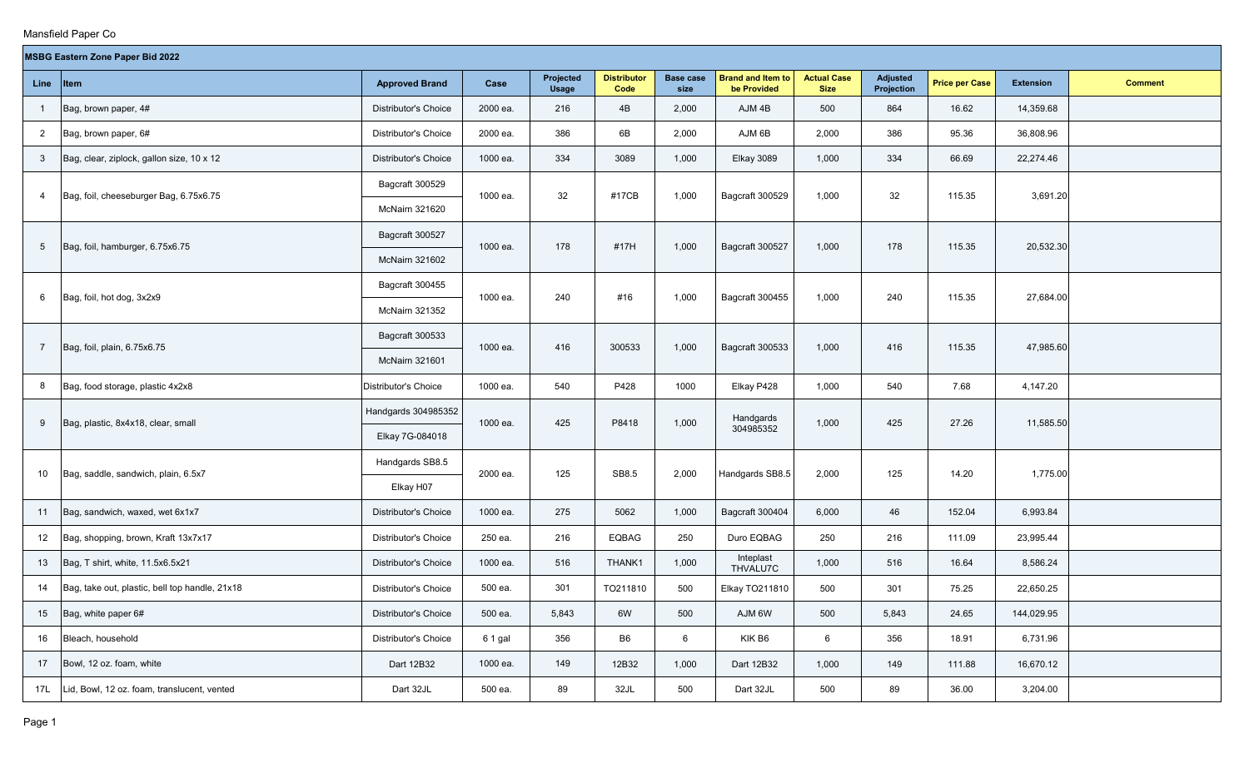|                 | <b>MSBG Eastern Zone Paper Bid 2022</b>        |                             |          |                           |                            |                          |                                         |                                   |                               |                       |                  |                |  |
|-----------------|------------------------------------------------|-----------------------------|----------|---------------------------|----------------------------|--------------------------|-----------------------------------------|-----------------------------------|-------------------------------|-----------------------|------------------|----------------|--|
| Line            | <b>Item</b>                                    | <b>Approved Brand</b>       | Case     | Projected<br><b>Usage</b> | <b>Distributor</b><br>Code | <b>Base case</b><br>size | <b>Brand and Item to</b><br>be Provided | <b>Actual Case</b><br><b>Size</b> | <b>Adjusted</b><br>Projection | <b>Price per Case</b> | <b>Extension</b> | <b>Comment</b> |  |
| $\overline{1}$  | Bag, brown paper, 4#                           | Distributor's Choice        | 2000 ea. | 216                       | 4B                         | 2,000                    | AJM 4B                                  | 500                               | 864                           | 16.62                 | 14,359.68        |                |  |
| $\overline{2}$  | Bag, brown paper, 6#                           | Distributor's Choice        | 2000 ea. | 386                       | 6B                         | 2,000                    | AJM 6B                                  | 2,000                             | 386                           | 95.36                 | 36,808.96        |                |  |
| 3               | Bag, clear, ziplock, gallon size, 10 x 12      | Distributor's Choice        | 1000 ea. | 334                       | 3089                       | 1,000                    | <b>Elkay 3089</b>                       | 1,000                             | 334                           | 66.69                 | 22,274.46        |                |  |
| $\overline{4}$  | Bag, foil, cheeseburger Bag, 6.75x6.75         | Bagcraft 300529             | 1000 ea. | 32                        | #17CB                      | 1,000                    | Bagcraft 300529                         | 1,000                             | 32                            | 115.35                | 3,691.20         |                |  |
|                 |                                                | McNairn 321620              |          |                           |                            |                          |                                         |                                   |                               |                       |                  |                |  |
|                 |                                                | Bagcraft 300527             | 1000 ea. | 178                       | #17H                       | 1,000                    | Bagcraft 300527                         | 1,000                             | 178                           | 115.35                | 20,532.30        |                |  |
| $5\phantom{.0}$ | Bag, foil, hamburger, 6.75x6.75                | McNairn 321602              |          |                           |                            |                          |                                         |                                   |                               |                       |                  |                |  |
|                 |                                                | Bagcraft 300455             | 1000 ea. | 240                       | #16                        |                          |                                         |                                   | 240                           | 115.35                | 27,684.00        |                |  |
| 6               | Bag, foil, hot dog, 3x2x9                      | <b>McNairn 321352</b>       |          |                           |                            | 1,000                    | Bagcraft 300455                         | 1,000                             |                               |                       |                  |                |  |
|                 |                                                | Bagcraft 300533             |          |                           |                            |                          |                                         |                                   |                               |                       |                  |                |  |
| $\overline{7}$  | Bag, foil, plain, 6.75x6.75                    | McNairn 321601              | 1000 ea. | 416                       | 300533                     | 1,000                    | Bagcraft 300533                         | 1,000                             | 416                           | 115.35                | 47,985.60        |                |  |
| 8               | Bag, food storage, plastic 4x2x8               | Distributor's Choice        | 1000 ea. | 540                       | P428                       | 1000                     | Elkay P428                              | 1,000                             | 540                           | 7.68                  | 4,147.20         |                |  |
|                 | Bag, plastic, 8x4x18, clear, small             | Handgards 304985352         | 1000 ea. | 425                       | P8418                      | 1,000                    | Handgards                               | 1,000                             | 425                           | 27.26                 | 11,585.50        |                |  |
| 9               |                                                | Elkay 7G-084018             |          |                           |                            |                          | 304985352                               |                                   |                               |                       |                  |                |  |
|                 |                                                | Handgards SB8.5             | 2000 ea. | 125                       | SB8.5                      | 2,000                    |                                         |                                   | 125                           |                       |                  |                |  |
| 10              | Bag, saddle, sandwich, plain, 6.5x7            | Elkay H07                   |          |                           |                            |                          | Handgards SB8.5                         | 2,000                             |                               | 14.20                 | 1,775.00         |                |  |
| 11              | Bag, sandwich, waxed, wet 6x1x7                | Distributor's Choice        | 1000 ea. | 275                       | 5062                       | 1,000                    | Bagcraft 300404                         | 6,000                             | 46                            | 152.04                | 6,993.84         |                |  |
| 12              | Bag, shopping, brown, Kraft 13x7x17            | Distributor's Choice        | 250 ea.  | 216                       | EQBAG                      | 250                      | Duro EQBAG                              | 250                               | 216                           | 111.09                | 23,995.44        |                |  |
| 13              | Bag, T shirt, white, 11.5x6.5x21               | Distributor's Choice        | 1000 ea. | 516                       | THANK1                     | 1,000                    | Inteplast<br>THVALU7C                   | 1,000                             | 516                           | 16.64                 | 8,586.24         |                |  |
| 14              | Bag, take out, plastic, bell top handle, 21x18 | <b>Distributor's Choice</b> | 500 ea.  | 301                       | TO211810                   | 500                      | Elkay TO211810                          | 500                               | 301                           | 75.25                 | 22,650.25        |                |  |
| 15              | Bag, white paper 6#                            | Distributor's Choice        | 500 ea.  | 5,843                     | 6W                         | 500                      | AJM 6W                                  | 500                               | 5,843                         | 24.65                 | 144,029.95       |                |  |
| 16              | Bleach, household                              | Distributor's Choice        | 6 1 gal  | 356                       | B <sub>6</sub>             | 6                        | KIK B6                                  | $6\phantom{.0}$                   | 356                           | 18.91                 | 6,731.96         |                |  |
| 17              | Bowl, 12 oz. foam, white                       | Dart 12B32                  | 1000 ea. | 149                       | 12B32                      | 1,000                    | Dart 12B32                              | 1,000                             | 149                           | 111.88                | 16,670.12        |                |  |
| 17L             | Lid, Bowl, 12 oz. foam, translucent, vented    | Dart 32JL                   | 500 ea.  | 89                        | 32JL                       | 500                      | Dart 32JL                               | 500                               | 89                            | 36.00                 | 3,204.00         |                |  |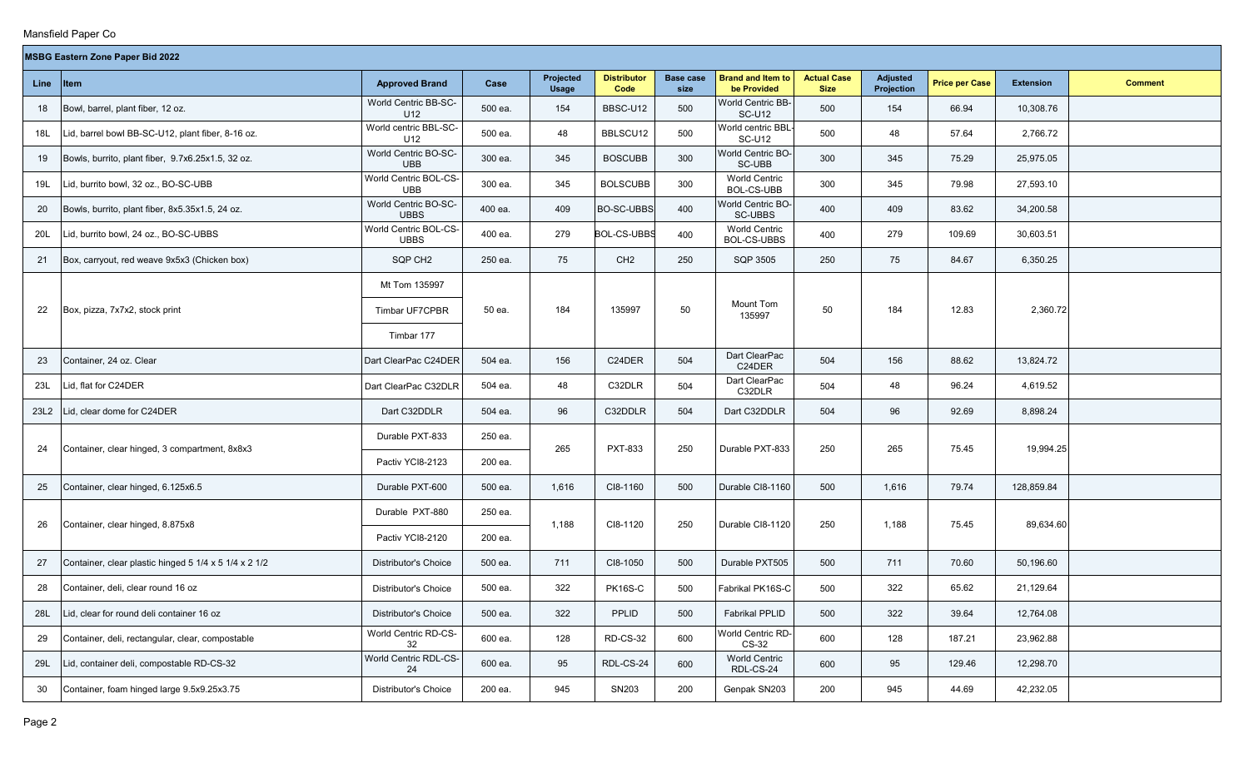**The Co** 

| <b>MSBG Eastern Zone Paper Bid 2022</b> |  |  |
|-----------------------------------------|--|--|
|-----------------------------------------|--|--|

|      | <b>MSBG Eastern Zone Paper Bid 2022</b>               |                                      |         |                           |                            |                          |                                           |                                   |                        |                       |                  |                |
|------|-------------------------------------------------------|--------------------------------------|---------|---------------------------|----------------------------|--------------------------|-------------------------------------------|-----------------------------------|------------------------|-----------------------|------------------|----------------|
| Line | $ $ Item                                              | <b>Approved Brand</b>                | Case    | Projected<br><b>Usage</b> | <b>Distributor</b><br>Code | <b>Base case</b><br>size | <b>Brand and Item to</b><br>be Provided   | <b>Actual Case</b><br><b>Size</b> | Adjusted<br>Projection | <b>Price per Case</b> | <b>Extension</b> | <b>Comment</b> |
| 18   | Bowl, barrel, plant fiber, 12 oz.                     | World Centric BB-SC-<br>U12          | 500 ea. | 154                       | BBSC-U12                   | 500                      | World Centric BB-<br><b>SC-U12</b>        | 500                               | 154                    | 66.94                 | 10,308.76        |                |
| 18L  | Lid, barrel bowl BB-SC-U12, plant fiber, 8-16 oz.     | World centric BBL-SC-<br>U12         | 500 ea. | 48                        | BBLSCU12                   | 500                      | World centric BBL-<br><b>SC-U12</b>       | 500                               | 48                     | 57.64                 | 2,766.72         |                |
| 19   | Bowls, burrito, plant fiber, 9.7x6.25x1.5, 32 oz.     | World Centric BO-SC-<br><b>UBB</b>   | 300 ea. | 345                       | <b>BOSCUBB</b>             | 300                      | World Centric BO-<br>SC-UBB               | 300                               | 345                    | 75.29                 | 25,975.05        |                |
| 19L  | Lid, burrito bowl, 32 oz., BO-SC-UBB                  | World Centric BOL-CS-<br><b>UBB</b>  | 300 ea. | 345                       | <b>BOLSCUBB</b>            | 300                      | <b>World Centric</b><br><b>BOL-CS-UBB</b> | 300                               | 345                    | 79.98                 | 27,593.10        |                |
| 20   | Bowls, burrito, plant fiber, 8x5.35x1.5, 24 oz.       | World Centric BO-SC-<br><b>UBBS</b>  | 400 ea. | 409                       | <b>BO-SC-UBBS</b>          | 400                      | World Centric BO-<br>SC-UBBS              | 400                               | 409                    | 83.62                 | 34,200.58        |                |
| 20L  | Lid, burrito bowl, 24 oz., BO-SC-UBBS                 | World Centric BOL-CS-<br><b>UBBS</b> | 400 ea. | 279                       | <b>BOL-CS-UBBS</b>         | 400                      | <b>World Centric</b><br>BOL-CS-UBBS       | 400                               | 279                    | 109.69                | 30,603.51        |                |
| 21   | Box, carryout, red weave 9x5x3 (Chicken box)          | SQP CH <sub>2</sub>                  | 250 ea. | 75                        | CH <sub>2</sub>            | 250                      | SQP 3505                                  | 250                               | 75                     | 84.67                 | 6,350.25         |                |
|      |                                                       | Mt Tom 135997                        |         |                           |                            |                          |                                           |                                   |                        |                       |                  |                |
| 22   | Box, pizza, 7x7x2, stock print                        | Timbar UF7CPBR                       | 50 ea.  | 184                       | 135997                     | 50                       | Mount Tom<br>135997                       | 50                                | 184                    | 12.83                 | 2,360.72         |                |
|      |                                                       | Timbar 177                           |         |                           |                            |                          |                                           |                                   |                        |                       |                  |                |
| 23   | Container, 24 oz. Clear                               | Dart ClearPac C24DER                 | 504 ea. | 156                       | C24DER                     | 504                      | Dart ClearPac<br>C24DER                   | 504                               | 156                    | 88.62                 | 13,824.72        |                |
| 23L  | Lid, flat for C24DER                                  | Dart ClearPac C32DLR                 | 504 ea. | 48                        | C32DLR                     | 504                      | Dart ClearPac<br>C32DLR                   | 504                               | 48                     | 96.24                 | 4,619.52         |                |
| 23L2 | Lid, clear dome for C24DER                            | Dart C32DDLR                         | 504 ea. | 96                        | C32DDLR                    | 504                      | Dart C32DDLR                              | 504                               | 96                     | 92.69                 | 8,898.24         |                |
| 24   | Container, clear hinged, 3 compartment, 8x8x3         | Durable PXT-833                      | 250 ea. | 265                       | <b>PXT-833</b>             | 250                      | Durable PXT-833                           | 250                               | 265                    | 75.45                 | 19,994.25        |                |
|      |                                                       | Pactiv YCI8-2123                     | 200 ea. |                           |                            |                          |                                           |                                   |                        |                       |                  |                |
| 25   | Container, clear hinged, 6.125x6.5                    | Durable PXT-600                      | 500 ea. | 1,616                     | CI8-1160                   | 500                      | Durable CI8-1160                          | 500                               | 1,616                  | 79.74                 | 128,859.84       |                |
| 26   | Container, clear hinged, 8.875x8                      | Durable PXT-880                      | 250 ea. | 1,188                     | CI8-1120                   | 250                      | Durable CI8-1120                          | 250                               | 1,188                  | 75.45                 | 89,634.60        |                |
|      |                                                       | Pactiv YCI8-2120                     | 200 ea. |                           |                            |                          |                                           |                                   |                        |                       |                  |                |
| 27   | Container, clear plastic hinged 5 1/4 x 5 1/4 x 2 1/2 | <b>Distributor's Choice</b>          | 500 ea. | 711                       | CI8-1050                   | 500                      | Durable PXT505                            | 500                               | 711                    | 70.60                 | 50,196.60        |                |
| 28   | Container, deli, clear round 16 oz                    | Distributor's Choice                 | 500 ea. | 322                       | <b>PK16S-C</b>             | 500                      | Fabrikal PK16S-C                          | 500                               | 322                    | 65.62                 | 21,129.64        |                |
| 28L  | Lid, clear for round deli container 16 oz             | Distributor's Choice                 | 500 ea. | 322                       | PPLID                      | 500                      | Fabrikal PPLID                            | 500                               | 322                    | 39.64                 | 12,764.08        |                |
| 29   | Container, deli, rectangular, clear, compostable      | World Centric RD-CS-<br>32           | 600 ea. | 128                       | RD-CS-32                   | 600                      | World Centric RD-<br>CS-32                | 600                               | 128                    | 187.21                | 23,962.88        |                |
| 29L  | Lid, container deli, compostable RD-CS-32             | World Centric RDL-CS-<br>24          | 600 ea. | 95                        | RDL-CS-24                  | 600                      | <b>World Centric</b><br>RDL-CS-24         | 600                               | 95                     | 129.46                | 12,298.70        |                |
| 30   | Container, foam hinged large 9.5x9.25x3.75            | Distributor's Choice                 | 200 ea. | 945                       | SN203                      | 200                      | Genpak SN203                              | 200                               | 945                    | 44.69                 | 42,232.05        |                |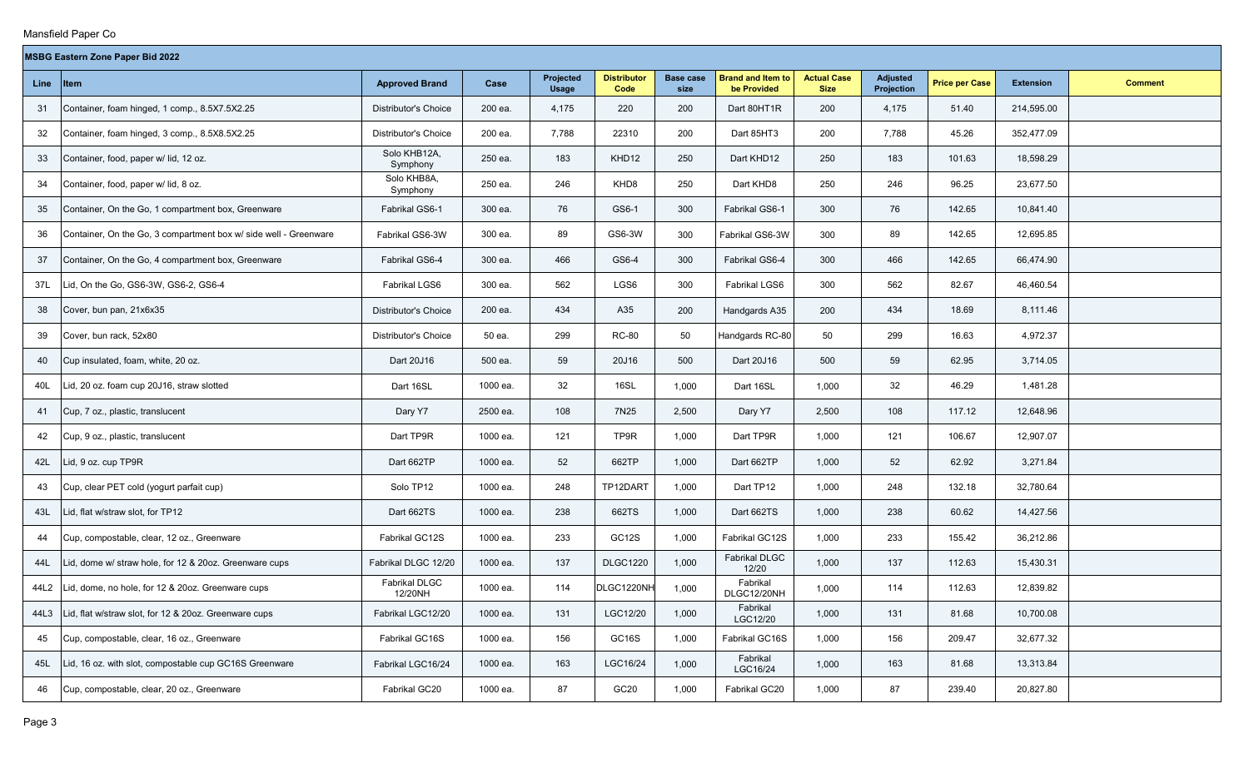$\sim$ 

|  |  | <b>MSBG Eastern Zone Paper Bid 2022</b> |
|--|--|-----------------------------------------|
|  |  |                                         |

|      | <b>MSBG Eastern Zone Paper Bid 2022</b>                          |                          |          |                           |                            |                          |                                         |                                   |                               |                       |                  |                |
|------|------------------------------------------------------------------|--------------------------|----------|---------------------------|----------------------------|--------------------------|-----------------------------------------|-----------------------------------|-------------------------------|-----------------------|------------------|----------------|
| Line | Item                                                             | <b>Approved Brand</b>    | Case     | Projected<br><b>Usage</b> | <b>Distributor</b><br>Code | <b>Base case</b><br>size | <b>Brand and Item to</b><br>be Provided | <b>Actual Case</b><br><b>Size</b> | <b>Adjusted</b><br>Projection | <b>Price per Case</b> | <b>Extension</b> | <b>Comment</b> |
| 31   | Container, foam hinged, 1 comp., 8.5X7.5X2.25                    | Distributor's Choice     | 200 ea.  | 4,175                     | 220                        | 200                      | Dart 80HT1R                             | 200                               | 4,175                         | 51.40                 | 214,595.00       |                |
| 32   | Container, foam hinged, 3 comp., 8.5X8.5X2.25                    | Distributor's Choice     | 200 ea.  | 7,788                     | 22310                      | 200                      | Dart 85HT3                              | 200                               | 7,788                         | 45.26                 | 352,477.09       |                |
| 33   | Container, food, paper w/ lid, 12 oz.                            | Solo KHB12A,<br>Symphony | 250 ea.  | 183                       | KHD12                      | 250                      | Dart KHD12                              | 250                               | 183                           | 101.63                | 18,598.29        |                |
| 34   | Container, food, paper w/ lid, 8 oz.                             | Solo KHB8A,<br>Symphony  | 250 ea.  | 246                       | KHD8                       | 250                      | Dart KHD8                               | 250                               | 246                           | 96.25                 | 23,677.50        |                |
| 35   | Container, On the Go, 1 compartment box, Greenware               | Fabrikal GS6-1           | 300 ea.  | 76                        | GS6-1                      | 300                      | Fabrikal GS6-1                          | 300                               | 76                            | 142.65                | 10,841.40        |                |
| 36   | Container, On the Go, 3 compartment box w/ side well - Greenware | Fabrikal GS6-3W          | 300 ea.  | 89                        | GS6-3W                     | 300                      | Fabrikal GS6-3W                         | 300                               | 89                            | 142.65                | 12,695.85        |                |
| 37   | Container, On the Go, 4 compartment box, Greenware               | Fabrikal GS6-4           | 300 ea.  | 466                       | GS6-4                      | 300                      | Fabrikal GS6-4                          | 300                               | 466                           | 142.65                | 66,474.90        |                |
| 37L  | Lid, On the Go, GS6-3W, GS6-2, GS6-4                             | Fabrikal LGS6            | 300 ea.  | 562                       | LGS6                       | 300                      | Fabrikal LGS6                           | 300                               | 562                           | 82.67                 | 46,460.54        |                |
| 38   | Cover, bun pan, 21x6x35                                          | Distributor's Choice     | 200 ea.  | 434                       | A35                        | 200                      | Handgards A35                           | 200                               | 434                           | 18.69                 | 8,111.46         |                |
| 39   | Cover, bun rack, 52x80                                           | Distributor's Choice     | 50 ea.   | 299                       | <b>RC-80</b>               | 50                       | Handgards RC-80                         | 50                                | 299                           | 16.63                 | 4,972.37         |                |
| 40   | Cup insulated, foam, white, 20 oz.                               | Dart 20J16               | 500 ea.  | 59                        | 20J16                      | 500                      | Dart 20J16                              | 500                               | 59                            | 62.95                 | 3,714.05         |                |
| 40L  | Lid, 20 oz. foam cup 20J16, straw slotted                        | Dart 16SL                | 1000 ea. | 32                        | 16SL                       | 1,000                    | Dart 16SL                               | 1,000                             | 32                            | 46.29                 | 1,481.28         |                |
| 41   | Cup, 7 oz., plastic, translucent                                 | Dary Y7                  | 2500 ea. | 108                       | 7N25                       | 2,500                    | Dary Y7                                 | 2,500                             | 108                           | 117.12                | 12,648.96        |                |
| 42   | Cup, 9 oz., plastic, translucent                                 | Dart TP9R                | 1000 ea. | 121                       | TP9R                       | 1,000                    | Dart TP9R                               | 1,000                             | 121                           | 106.67                | 12,907.07        |                |
| 42L  | Lid, 9 oz. cup TP9R                                              | Dart 662TP               | 1000 ea. | 52                        | 662TP                      | 1,000                    | Dart 662TP                              | 1,000                             | 52                            | 62.92                 | 3,271.84         |                |
| 43   | Cup, clear PET cold (yogurt parfait cup)                         | Solo TP12                | 1000 ea. | 248                       | TP12DART                   | 1,000                    | Dart TP12                               | 1,000                             | 248                           | 132.18                | 32,780.64        |                |
| 43L  | Lid, flat w/straw slot, for TP12                                 | Dart 662TS               | 1000 ea. | 238                       | 662TS                      | 1,000                    | Dart 662TS                              | 1,000                             | 238                           | 60.62                 | 14,427.56        |                |
| 44   | Cup, compostable, clear, 12 oz., Greenware                       | Fabrikal GC12S           | 1000 ea. | 233                       | GC12S                      | 1,000                    | Fabrikal GC12S                          | 1,000                             | 233                           | 155.42                | 36,212.86        |                |
| 44L  | Lid, dome w/ straw hole, for 12 & 20oz. Greenware cups           | Fabrikal DLGC 12/20      | 1000 ea. | 137                       | <b>DLGC1220</b>            | 1,000                    | Fabrikal DLGC<br>12/20                  | 1,000                             | 137                           | 112.63                | 15,430.31        |                |
| 44L2 | Lid, dome, no hole, for 12 & 20oz. Greenware cups                | Fabrikal DLGC<br>12/20NH | 1000 ea. | 114                       | DLGC1220NH                 | 1,000                    | Fabrikal<br>DLGC12/20NH                 | 1,000                             | 114                           | 112.63                | 12,839.82        |                |
| 44L3 | Lid, flat w/straw slot, for 12 & 20oz. Greenware cups            | Fabrikal LGC12/20        | 1000 ea. | 131                       | LGC12/20                   | 1,000                    | Fabrikal<br>LGC12/20                    | 1,000                             | 131                           | 81.68                 | 10,700.08        |                |
| 45   | Cup, compostable, clear, 16 oz., Greenware                       | Fabrikal GC16S           | 1000 ea. | 156                       | GC16S                      | 1,000                    | Fabrikal GC16S                          | 1,000                             | 156                           | 209.47                | 32,677.32        |                |
| 45L  | Lid, 16 oz. with slot, compostable cup GC16S Greenware           | Fabrikal LGC16/24        | 1000 ea. | 163                       | LGC16/24                   | 1,000                    | Fabrikal<br>LGC16/24                    | 1,000                             | 163                           | 81.68                 | 13,313.84        |                |
| 46   | Cup, compostable, clear, 20 oz., Greenware                       | Fabrikal GC20            | 1000 ea. | 87                        | GC <sub>20</sub>           | 1,000                    | Fabrikal GC20                           | 1,000                             | 87                            | 239.40                | 20,827.80        |                |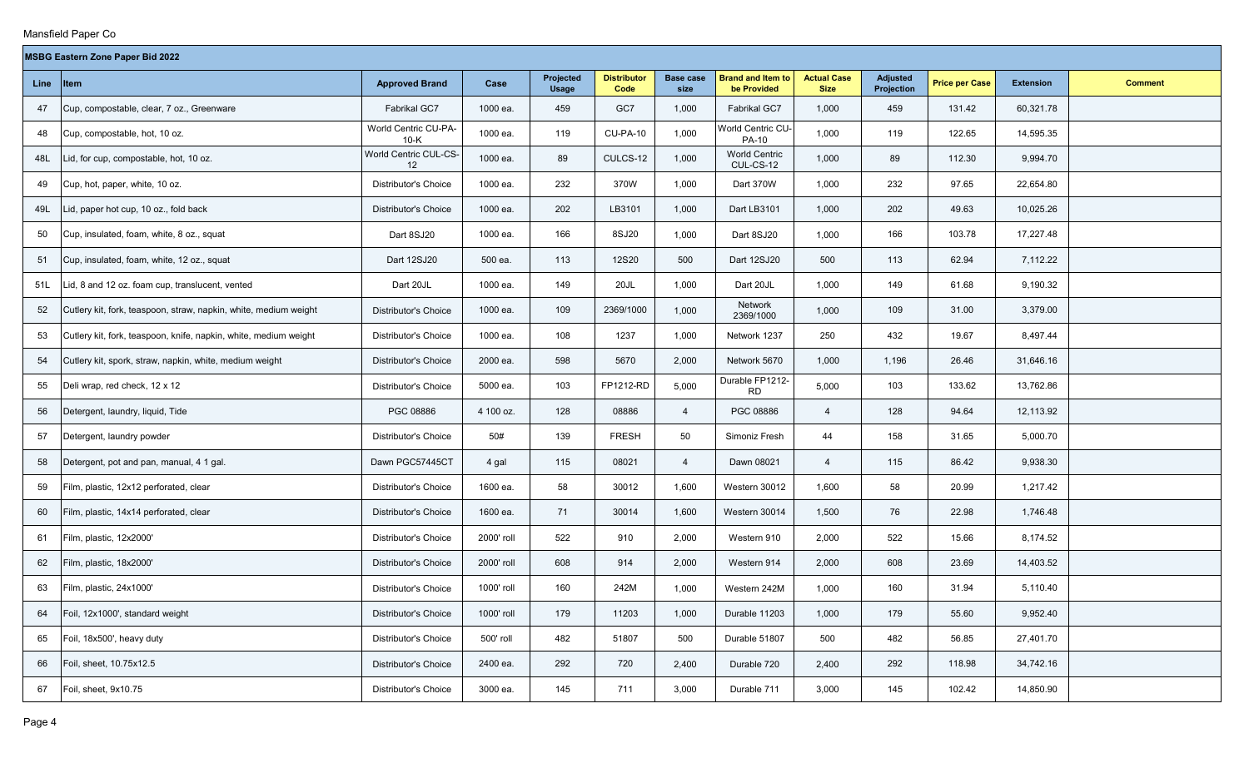$\overline{\phantom{a}}$ 

|             | <b>MSBG Eastern Zone Paper Bid 2022</b>                          |                                |            |                           |                            |                          |                                         |                                   |                               |                       |                  |                |  |
|-------------|------------------------------------------------------------------|--------------------------------|------------|---------------------------|----------------------------|--------------------------|-----------------------------------------|-----------------------------------|-------------------------------|-----------------------|------------------|----------------|--|
| <b>Line</b> | $ $ Item                                                         | <b>Approved Brand</b>          | Case       | Projected<br><b>Usage</b> | <b>Distributor</b><br>Code | <b>Base case</b><br>size | <b>Brand and Item to</b><br>be Provided | <b>Actual Case</b><br><b>Size</b> | <b>Adjusted</b><br>Projection | <b>Price per Case</b> | <b>Extension</b> | <b>Comment</b> |  |
| 47          | Cup, compostable, clear, 7 oz., Greenware                        | Fabrikal GC7                   | 1000 ea.   | 459                       | GC7                        | 1,000                    | Fabrikal GC7                            | 1,000                             | 459                           | 131.42                | 60,321.78        |                |  |
| 48          | Cup, compostable, hot, 10 oz.                                    | World Centric CU-PA-<br>$10-K$ | 1000 ea.   | 119                       | <b>CU-PA-10</b>            | 1,000                    | World Centric CU-<br><b>PA-10</b>       | 1,000                             | 119                           | 122.65                | 14,595.35        |                |  |
| 48L         | Lid, for cup, compostable, hot, 10 oz.                           | World Centric CUL-CS-<br>12    | 1000 ea.   | 89                        | CULCS-12                   | 1,000                    | <b>World Centric</b><br>CUL-CS-12       | 1,000                             | 89                            | 112.30                | 9,994.70         |                |  |
| 49          | Cup, hot, paper, white, 10 oz.                                   | Distributor's Choice           | 1000 ea.   | 232                       | 370W                       | 1,000                    | Dart 370W                               | 1,000                             | 232                           | 97.65                 | 22,654.80        |                |  |
| 49L         | Lid, paper hot cup, 10 oz., fold back                            | Distributor's Choice           | 1000 ea.   | 202                       | LB3101                     | 1,000                    | Dart LB3101                             | 1,000                             | 202                           | 49.63                 | 10,025.26        |                |  |
| 50          | Cup, insulated, foam, white, 8 oz., squat                        | Dart 8SJ20                     | 1000 ea.   | 166                       | 8SJ20                      | 1,000                    | Dart 8SJ20                              | 1,000                             | 166                           | 103.78                | 17,227.48        |                |  |
| 51          | Cup, insulated, foam, white, 12 oz., squat                       | Dart 12SJ20                    | 500 ea.    | 113                       | <b>12S20</b>               | 500                      | Dart 12SJ20                             | 500                               | 113                           | 62.94                 | 7,112.22         |                |  |
| 51L         | Lid, 8 and 12 oz. foam cup, translucent, vented                  | Dart 20JL                      | 1000 ea.   | 149                       | 20JL                       | 1,000                    | Dart 20JL                               | 1,000                             | 149                           | 61.68                 | 9,190.32         |                |  |
| 52          | Cutlery kit, fork, teaspoon, straw, napkin, white, medium weight | <b>Distributor's Choice</b>    | 1000 ea.   | 109                       | 2369/1000                  | 1,000                    | Network<br>2369/1000                    | 1,000                             | 109                           | 31.00                 | 3,379.00         |                |  |
| 53          | Cutlery kit, fork, teaspoon, knife, napkin, white, medium weight | <b>Distributor's Choice</b>    | 1000 ea.   | 108                       | 1237                       | 1,000                    | Network 1237                            | 250                               | 432                           | 19.67                 | 8,497.44         |                |  |
| 54          | Cutlery kit, spork, straw, napkin, white, medium weight          | <b>Distributor's Choice</b>    | 2000 ea.   | 598                       | 5670                       | 2,000                    | Network 5670                            | 1,000                             | 1,196                         | 26.46                 | 31,646.16        |                |  |
| 55          | Deli wrap, red check, 12 x 12                                    | <b>Distributor's Choice</b>    | 5000 ea.   | 103                       | FP1212-RD                  | 5,000                    | Durable FP1212-<br><b>RD</b>            | 5,000                             | 103                           | 133.62                | 13,762.86        |                |  |
| 56          | Detergent, laundry, liquid, Tide                                 | PGC 08886                      | 4 100 oz.  | 128                       | 08886                      | $\overline{4}$           | PGC 08886                               | $\overline{4}$                    | 128                           | 94.64                 | 12,113.92        |                |  |
| 57          | Detergent, laundry powder                                        | Distributor's Choice           | 50#        | 139                       | <b>FRESH</b>               | 50                       | Simoniz Fresh                           | 44                                | 158                           | 31.65                 | 5,000.70         |                |  |
| 58          | Detergent, pot and pan, manual, 4 1 gal.                         | Dawn PGC57445CT                | 4 gal      | 115                       | 08021                      | $\overline{4}$           | Dawn 08021                              | $\overline{4}$                    | 115                           | 86.42                 | 9,938.30         |                |  |
| 59          | Film, plastic, 12x12 perforated, clear                           | Distributor's Choice           | 1600 ea.   | 58                        | 30012                      | 1,600                    | Western 30012                           | 1,600                             | 58                            | 20.99                 | 1,217.42         |                |  |
| 60          | Film, plastic, 14x14 perforated, clear                           | Distributor's Choice           | 1600 ea.   | 71                        | 30014                      | 1,600                    | Western 30014                           | 1,500                             | 76                            | 22.98                 | 1,746.48         |                |  |
| 61          | Film, plastic, 12x2000'                                          | Distributor's Choice           | 2000' roll | 522                       | 910                        | 2,000                    | Western 910                             | 2,000                             | 522                           | 15.66                 | 8,174.52         |                |  |
| 62          | Film, plastic, 18x2000'                                          | <b>Distributor's Choice</b>    | 2000' roll | 608                       | 914                        | 2,000                    | Western 914                             | 2,000                             | 608                           | 23.69                 | 14,403.52        |                |  |
| 63          | Film, plastic, 24x1000'                                          | Distributor's Choice           | 1000' roll | 160                       | 242M                       | 1,000                    | Western 242M                            | 1,000                             | 160                           | 31.94                 | 5,110.40         |                |  |
| 64          | Foil, 12x1000', standard weight                                  | Distributor's Choice           | 1000' roll | 179                       | 11203                      | 1,000                    | Durable 11203                           | 1,000                             | 179                           | 55.60                 | 9,952.40         |                |  |
| 65          | Foil, 18x500', heavy duty                                        | Distributor's Choice           | 500' roll  | 482                       | 51807                      | 500                      | Durable 51807                           | 500                               | 482                           | 56.85                 | 27,401.70        |                |  |
| 66          | Foil, sheet, 10.75x12.5                                          | Distributor's Choice           | 2400 ea.   | 292                       | 720                        | 2,400                    | Durable 720                             | 2,400                             | 292                           | 118.98                | 34,742.16        |                |  |
| 67          | Foil, sheet, 9x10.75                                             | Distributor's Choice           | 3000 ea.   | 145                       | 711                        | 3,000                    | Durable 711                             | 3,000                             | 145                           | 102.42                | 14,850.90        |                |  |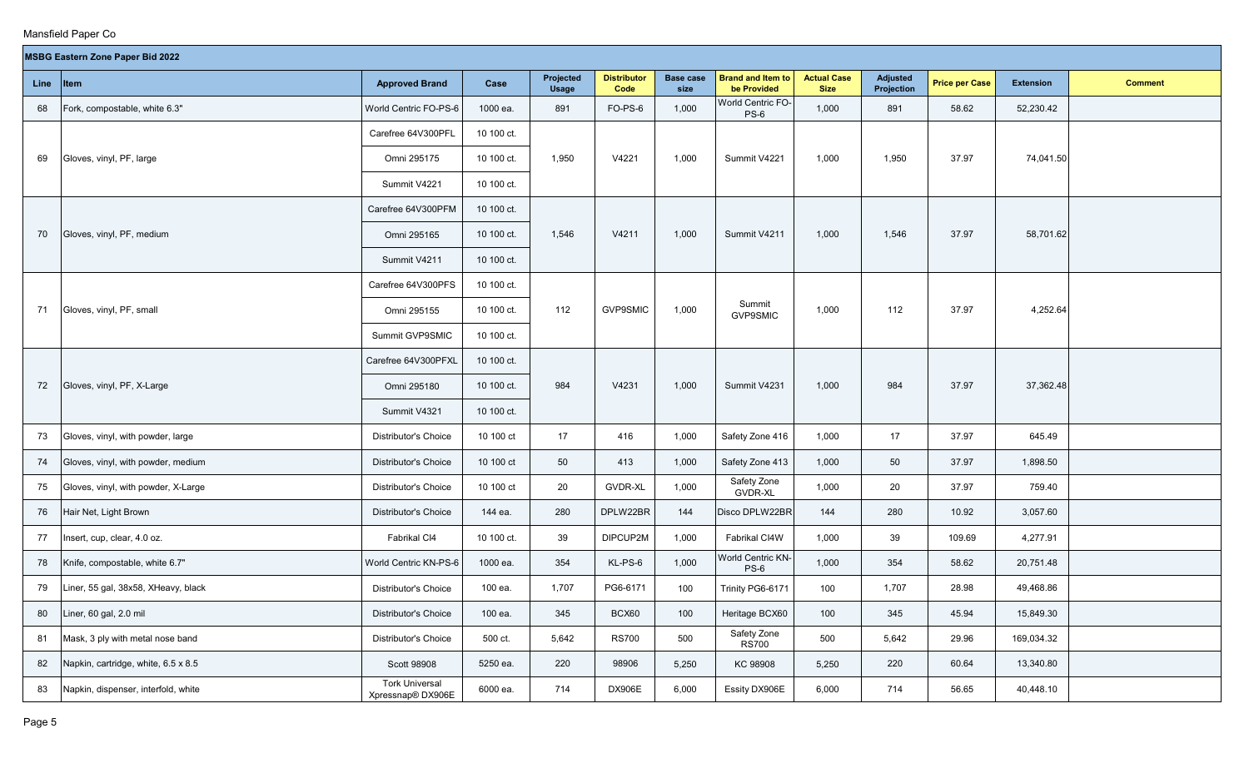|             | <b>MSBG Eastern Zone Paper Bid 2022</b><br>Projected<br><b>Distributor</b><br><b>Brand and Item to</b><br><b>Actual Case</b><br><b>Base case</b><br><b>Adjusted</b> |                                            |            |              |                 |       |                                    |             |            |                       |                  |                |  |
|-------------|---------------------------------------------------------------------------------------------------------------------------------------------------------------------|--------------------------------------------|------------|--------------|-----------------|-------|------------------------------------|-------------|------------|-----------------------|------------------|----------------|--|
| <b>Line</b> | Item                                                                                                                                                                | <b>Approved Brand</b>                      | Case       | <b>Usage</b> | Code            | size  | be Provided                        | <b>Size</b> | Projection | <b>Price per Case</b> | <b>Extension</b> | <b>Comment</b> |  |
| 68          | Fork, compostable, white 6.3"                                                                                                                                       | World Centric FO-PS-6                      | 1000 ea.   | 891          | FO-PS-6         | 1,000 | World Centric FO-<br>$PS-6$        | 1,000       | 891        | 58.62                 | 52,230.42        |                |  |
|             |                                                                                                                                                                     | Carefree 64V300PFL                         | 10 100 ct. |              |                 |       |                                    |             |            |                       |                  |                |  |
| 69          | Gloves, vinyl, PF, large                                                                                                                                            | Omni 295175                                | 10 100 ct. | 1,950        | V4221           | 1,000 | Summit V4221                       | 1,000       | 1,950      | 37.97                 | 74,041.50        |                |  |
|             |                                                                                                                                                                     | Summit V4221                               | 10 100 ct. |              |                 |       |                                    |             |            |                       |                  |                |  |
|             |                                                                                                                                                                     | Carefree 64V300PFM                         | 10 100 ct. |              |                 |       |                                    |             |            |                       |                  |                |  |
| 70          | Gloves, vinyl, PF, medium                                                                                                                                           | Omni 295165                                | 10 100 ct. | 1,546        | V4211           | 1,000 | Summit V4211                       | 1,000       | 1,546      | 37.97                 | 58,701.62        |                |  |
|             |                                                                                                                                                                     | Summit V4211                               | 10 100 ct. |              |                 |       |                                    |             |            |                       |                  |                |  |
|             |                                                                                                                                                                     | Carefree 64V300PFS                         | 10 100 ct. |              |                 |       |                                    |             |            |                       |                  |                |  |
| 71          | Gloves, vinyl, PF, small                                                                                                                                            | Omni 295155                                | 10 100 ct. | 112          | <b>GVP9SMIC</b> | 1,000 | Summit<br><b>GVP9SMIC</b>          | 1,000       | 112        | 37.97                 | 4,252.64         |                |  |
|             |                                                                                                                                                                     | Summit GVP9SMIC                            | 10 100 ct. |              |                 |       |                                    |             |            |                       |                  |                |  |
|             |                                                                                                                                                                     | Carefree 64V300PFXL                        | 10 100 ct. |              |                 |       |                                    |             |            |                       |                  |                |  |
| 72          | Gloves, vinyl, PF, X-Large                                                                                                                                          | Omni 295180                                | 10 100 ct. | 984          | V4231           | 1,000 | Summit V4231                       | 1,000       | 984        | 37.97                 | 37,362.48        |                |  |
|             |                                                                                                                                                                     | Summit V4321                               | 10 100 ct. |              |                 |       |                                    |             |            |                       |                  |                |  |
| 73          | Gloves, vinyl, with powder, large                                                                                                                                   | Distributor's Choice                       | 10 100 ct  | 17           | 416             | 1,000 | Safety Zone 416                    | 1,000       | 17         | 37.97                 | 645.49           |                |  |
| 74          | Gloves, vinyl, with powder, medium                                                                                                                                  | <b>Distributor's Choice</b>                | 10 100 ct  | 50           | 413             | 1,000 | Safety Zone 413                    | 1,000       | 50         | 37.97                 | 1,898.50         |                |  |
| 75          | Gloves, vinyl, with powder, X-Large                                                                                                                                 | Distributor's Choice                       | 10 100 ct  | 20           | <b>GVDR-XL</b>  | 1,000 | Safety Zone<br><b>GVDR-XL</b>      | 1,000       | 20         | 37.97                 | 759.40           |                |  |
| 76          | Hair Net, Light Brown                                                                                                                                               | Distributor's Choice                       | 144 ea.    | 280          | DPLW22BR        | 144   | Disco DPLW22BR                     | 144         | 280        | 10.92                 | 3,057.60         |                |  |
| 77          | Insert, cup, clear, 4.0 oz.                                                                                                                                         | Fabrikal CI4                               | 10 100 ct. | 39           | DIPCUP2M        | 1,000 | Fabrikal CI4W                      | 1,000       | 39         | 109.69                | 4,277.91         |                |  |
| 78          | Knife, compostable, white 6.7"                                                                                                                                      | World Centric KN-PS-6                      | 1000 ea.   | 354          | KL-PS-6         | 1,000 | <b>World Centric KN-</b><br>$PS-6$ | 1,000       | 354        | 58.62                 | 20,751.48        |                |  |
| 79          | Liner, 55 gal, 38x58, XHeavy, black                                                                                                                                 | Distributor's Choice                       | 100 ea.    | 1,707        | PG6-6171        | 100   | Trinity PG6-6171                   | 100         | 1,707      | 28.98                 | 49,468.86        |                |  |
| 80          | Liner, 60 gal, 2.0 mil                                                                                                                                              | Distributor's Choice                       | 100 ea.    | 345          | BCX60           | 100   | Heritage BCX60                     | 100         | 345        | 45.94                 | 15,849.30        |                |  |
| 81          | Mask, 3 ply with metal nose band                                                                                                                                    | Distributor's Choice                       | 500 ct.    | 5,642        | <b>RS700</b>    | 500   | Safety Zone<br><b>RS700</b>        | 500         | 5,642      | 29.96                 | 169,034.32       |                |  |
| 82          | Napkin, cartridge, white, 6.5 x 8.5                                                                                                                                 | Scott 98908                                | 5250 ea.   | 220          | 98906           | 5,250 | KC 98908                           | 5,250       | 220        | 60.64                 | 13,340.80        |                |  |
| 83          | Napkin, dispenser, interfold, white                                                                                                                                 | <b>Tork Universal</b><br>Xpressnap® DX906E | 6000 ea.   | 714          | DX906E          | 6,000 | Essity DX906E                      | 6,000       | 714        | 56.65                 | 40,448.10        |                |  |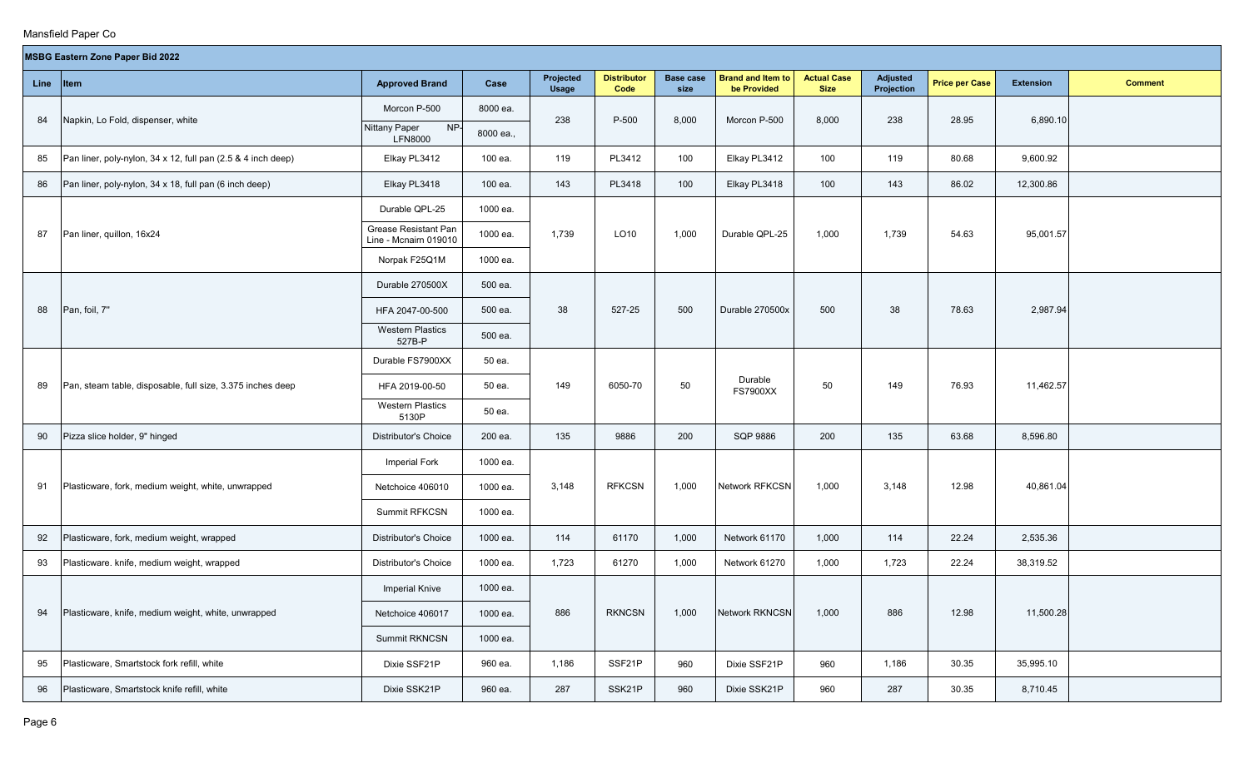$\sim$ 

|    | <b>MSBG Eastern Zone Paper Bid 2022</b>                      |                                               |           |                           |                            |                          |                                         |                                   |                               |                       |                  |                |
|----|--------------------------------------------------------------|-----------------------------------------------|-----------|---------------------------|----------------------------|--------------------------|-----------------------------------------|-----------------------------------|-------------------------------|-----------------------|------------------|----------------|
|    | Line Item                                                    | <b>Approved Brand</b>                         | Case      | Projected<br><b>Usage</b> | <b>Distributor</b><br>Code | <b>Base case</b><br>size | <b>Brand and Item to</b><br>be Provided | <b>Actual Case</b><br><b>Size</b> | <b>Adjusted</b><br>Projection | <b>Price per Case</b> | <b>Extension</b> | <b>Comment</b> |
| 84 | Napkin, Lo Fold, dispenser, white                            | Morcon P-500                                  | 8000 ea.  | 238                       | P-500                      | 8,000                    | Morcon P-500                            | 8,000                             | 238                           | 28.95                 | 6,890.10         |                |
|    |                                                              | NP-<br><b>Nittany Paper</b><br><b>LFN8000</b> | 8000 ea., |                           |                            |                          |                                         |                                   |                               |                       |                  |                |
| 85 | Pan liner, poly-nylon, 34 x 12, full pan (2.5 & 4 inch deep) | Elkay PL3412                                  | 100 ea.   | 119                       | PL3412                     | 100                      | Elkay PL3412                            | 100                               | 119                           | 80.68                 | 9,600.92         |                |
| 86 | Pan liner, poly-nylon, 34 x 18, full pan (6 inch deep)       | Elkay PL3418                                  | 100 ea.   | 143                       | PL3418                     | 100                      | Elkay PL3418                            | 100                               | 143                           | 86.02                 | 12,300.86        |                |
|    |                                                              | Durable QPL-25                                | 1000 ea.  |                           |                            |                          |                                         |                                   |                               |                       |                  |                |
| 87 | Pan liner, quillon, 16x24                                    | Grease Resistant Pan<br>Line - Mcnairn 019010 | 1000 ea.  | 1,739                     | LO10                       | 1,000                    | Durable QPL-25                          | 1,000                             | 1,739                         | 54.63                 | 95,001.57        |                |
|    |                                                              | Norpak F25Q1M                                 | 1000 ea.  |                           |                            |                          |                                         |                                   |                               |                       |                  |                |
|    |                                                              | Durable 270500X                               | 500 ea.   |                           |                            |                          |                                         |                                   |                               |                       |                  |                |
| 88 | Pan, foil, 7"                                                | HFA 2047-00-500                               | 500 ea.   | 38                        | 527-25                     | 500                      | Durable 270500x                         | 500                               | 38                            | 78.63                 | 2,987.94         |                |
|    |                                                              | <b>Western Plastics</b><br>527B-P             | 500 ea.   |                           |                            |                          |                                         |                                   |                               |                       |                  |                |
|    |                                                              | Durable FS7900XX                              | 50 ea.    |                           |                            |                          |                                         |                                   |                               |                       |                  |                |
| 89 | Pan, steam table, disposable, full size, 3.375 inches deep   | HFA 2019-00-50                                | 50 ea.    | 149                       | 6050-70                    | 50                       | Durable<br><b>FS7900XX</b>              | 50                                | 149                           | 76.93                 | 11,462.57        |                |
|    |                                                              | <b>Western Plastics</b><br>5130P              | 50 ea.    |                           |                            |                          |                                         |                                   |                               |                       |                  |                |
| 90 | Pizza slice holder, 9" hinged                                | <b>Distributor's Choice</b>                   | 200 ea.   | 135                       | 9886                       | 200                      | <b>SQP 9886</b>                         | 200                               | 135                           | 63.68                 | 8,596.80         |                |
|    |                                                              | Imperial Fork                                 | 1000 ea.  |                           |                            |                          |                                         |                                   |                               |                       |                  |                |
| 91 | Plasticware, fork, medium weight, white, unwrapped           | Netchoice 406010                              | 1000 ea.  | 3,148                     | <b>RFKCSN</b>              | 1,000                    | <b>Network RFKCSN</b>                   | 1,000                             | 3,148                         | 12.98                 | 40,861.04        |                |
|    |                                                              | Summit RFKCSN                                 | 1000 ea.  |                           |                            |                          |                                         |                                   |                               |                       |                  |                |
| 92 | Plasticware, fork, medium weight, wrapped                    | Distributor's Choice                          | 1000 ea.  | 114                       | 61170                      | 1,000                    | Network 61170                           | 1,000                             | 114                           | 22.24                 | 2,535.36         |                |
| 93 | Plasticware. knife, medium weight, wrapped                   | <b>Distributor's Choice</b>                   | 1000 ea.  | 1,723                     | 61270                      | 1,000                    | Network 61270                           | 1,000                             | 1,723                         | 22.24                 | 38,319.52        |                |
|    |                                                              | <b>Imperial Knive</b>                         | 1000 ea.  |                           |                            |                          |                                         |                                   |                               |                       |                  |                |
| 94 | Plasticware, knife, medium weight, white, unwrapped          | Netchoice 406017                              | 1000 ea.  | 886                       | <b>RKNCSN</b>              | 1,000                    | <b>Network RKNCSN</b>                   | 1,000                             | 886                           | 12.98                 | 11,500.28        |                |
|    |                                                              | <b>Summit RKNCSN</b>                          | 1000 ea.  |                           |                            |                          |                                         |                                   |                               |                       |                  |                |
| 95 | Plasticware, Smartstock fork refill, white                   | Dixie SSF21P                                  | 960 ea.   | 1,186                     | SSF21P                     | 960                      | Dixie SSF21P                            | 960                               | 1,186                         | 30.35                 | 35,995.10        |                |
| 96 | Plasticware, Smartstock knife refill, white                  | Dixie SSK21P                                  | 960 ea.   | 287                       | SSK21P                     | 960                      | Dixie SSK21P                            | 960                               | 287                           | 30.35                 | 8,710.45         |                |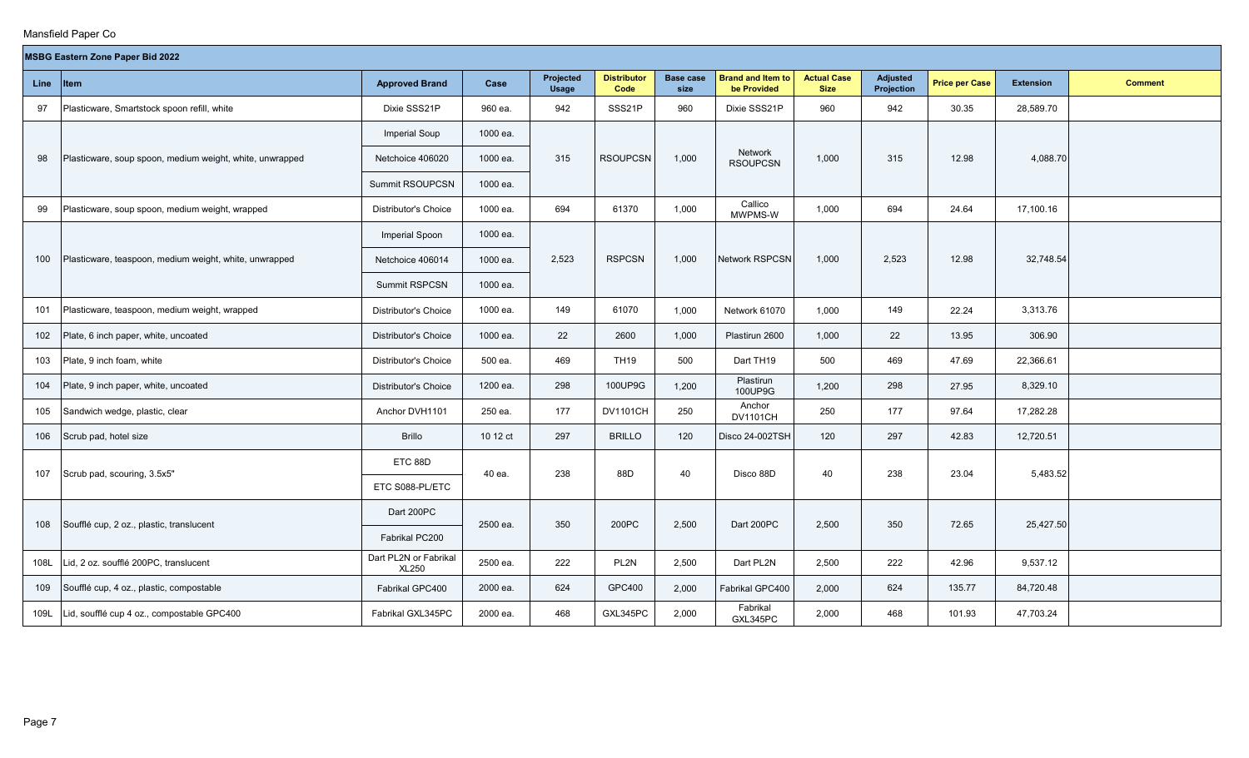|      | <b>MSBG Eastern Zone Paper Bid 2022</b><br><b>Distributor</b><br><b>Brand and Item to</b><br><b>Actual Case</b><br>Projected<br><b>Base case</b><br><b>Adjusted</b><br><b>Approved Brand</b><br>Case<br><b>Price per Case</b><br><b>Extension</b><br>Item<br><b>Comment</b> |                                       |          |              |                 |       |                                   |             |            |        |           |  |  |  |
|------|-----------------------------------------------------------------------------------------------------------------------------------------------------------------------------------------------------------------------------------------------------------------------------|---------------------------------------|----------|--------------|-----------------|-------|-----------------------------------|-------------|------------|--------|-----------|--|--|--|
| Line |                                                                                                                                                                                                                                                                             |                                       |          | <b>Usage</b> | Code            | size  | be Provided                       | <b>Size</b> | Projection |        |           |  |  |  |
| 97   | Plasticware, Smartstock spoon refill, white                                                                                                                                                                                                                                 | Dixie SSS21P                          | 960 ea.  | 942          | SSS21P          | 960   | Dixie SSS21P                      | 960         | 942        | 30.35  | 28,589.70 |  |  |  |
|      |                                                                                                                                                                                                                                                                             | <b>Imperial Soup</b>                  | 1000 ea. |              |                 |       |                                   |             |            |        |           |  |  |  |
| 98   | Plasticware, soup spoon, medium weight, white, unwrapped                                                                                                                                                                                                                    | Netchoice 406020                      | 1000 ea. | 315          | <b>RSOUPCSN</b> | 1,000 | <b>Network</b><br><b>RSOUPCSN</b> | 1,000       | 315        | 12.98  | 4,088.70  |  |  |  |
|      |                                                                                                                                                                                                                                                                             | Summit RSOUPCSN                       | 1000 ea. |              |                 |       |                                   |             |            |        |           |  |  |  |
| 99   | Plasticware, soup spoon, medium weight, wrapped                                                                                                                                                                                                                             | <b>Distributor's Choice</b>           | 1000 ea. | 694          | 61370           | 1,000 | Callico<br>MWPMS-W                | 1,000       | 694        | 24.64  | 17,100.16 |  |  |  |
|      |                                                                                                                                                                                                                                                                             | Imperial Spoon                        | 1000 ea. |              |                 |       |                                   |             |            |        |           |  |  |  |
| 100  | Plasticware, teaspoon, medium weight, white, unwrapped                                                                                                                                                                                                                      | Netchoice 406014                      | 1000 ea. | 2,523        | <b>RSPCSN</b>   | 1,000 | <b>Network RSPCSN</b>             | 1,000       | 2,523      | 12.98  | 32,748.54 |  |  |  |
|      |                                                                                                                                                                                                                                                                             | <b>Summit RSPCSN</b>                  | 1000 ea. |              |                 |       |                                   |             |            |        |           |  |  |  |
| 101  | Plasticware, teaspoon, medium weight, wrapped                                                                                                                                                                                                                               | Distributor's Choice                  | 1000 ea. | 149          | 61070           | 1,000 | Network 61070                     | 1,000       | 149        | 22.24  | 3,313.76  |  |  |  |
| 102  | Plate, 6 inch paper, white, uncoated                                                                                                                                                                                                                                        | <b>Distributor's Choice</b>           | 1000 ea. | 22           | 2600            | 1,000 | Plastirun 2600                    | 1,000       | 22         | 13.95  | 306.90    |  |  |  |
| 103  | Plate, 9 inch foam, white                                                                                                                                                                                                                                                   | Distributor's Choice                  | 500 ea.  | 469          | <b>TH19</b>     | 500   | Dart TH19                         | 500         | 469        | 47.69  | 22,366.61 |  |  |  |
| 104  | Plate, 9 inch paper, white, uncoated                                                                                                                                                                                                                                        | <b>Distributor's Choice</b>           | 1200 ea. | 298          | 100UP9G         | 1,200 | Plastirun<br>100UP9G              | 1,200       | 298        | 27.95  | 8,329.10  |  |  |  |
| 105  | Sandwich wedge, plastic, clear                                                                                                                                                                                                                                              | Anchor DVH1101                        | 250 ea.  | 177          | <b>DV1101CH</b> | 250   | Anchor<br><b>DV1101CH</b>         | 250         | 177        | 97.64  | 17,282.28 |  |  |  |
| 106  | Scrub pad, hotel size                                                                                                                                                                                                                                                       | <b>Brillo</b>                         | 10 12 ct | 297          | <b>BRILLO</b>   | 120   | Disco 24-002TSH                   | 120         | 297        | 42.83  | 12,720.51 |  |  |  |
|      |                                                                                                                                                                                                                                                                             | ETC 88D                               |          |              |                 |       |                                   |             |            |        |           |  |  |  |
| 107  | Scrub pad, scouring, 3.5x5"                                                                                                                                                                                                                                                 | ETC S088-PL/ETC                       | 40 ea.   | 238          | 88D             | 40    | Disco 88D                         | 40          | 238        | 23.04  | 5,483.52  |  |  |  |
|      |                                                                                                                                                                                                                                                                             | Dart 200PC                            |          |              |                 |       |                                   |             |            |        |           |  |  |  |
| 108  | Soufflé cup, 2 oz., plastic, translucent                                                                                                                                                                                                                                    | Fabrikal PC200                        | 2500 ea. | 350          | 200PC           | 2,500 | Dart 200PC                        | 2,500       | 350        | 72.65  | 25,427.50 |  |  |  |
| 108L | Lid, 2 oz. soufflé 200PC, translucent                                                                                                                                                                                                                                       | Dart PL2N or Fabrikal<br><b>XL250</b> | 2500 ea. | 222          | PL2N            | 2,500 | Dart PL2N                         | 2,500       | 222        | 42.96  | 9,537.12  |  |  |  |
| 109  | Soufflé cup, 4 oz., plastic, compostable                                                                                                                                                                                                                                    | Fabrikal GPC400                       | 2000 ea. | 624          | GPC400          | 2,000 | Fabrikal GPC400                   | 2,000       | 624        | 135.77 | 84,720.48 |  |  |  |
| 109L | Lid, soufflé cup 4 oz., compostable GPC400                                                                                                                                                                                                                                  | Fabrikal GXL345PC                     | 2000 ea. | 468          | GXL345PC        | 2,000 | Fabrikal<br>GXL345PC              | 2,000       | 468        | 101.93 | 47,703.24 |  |  |  |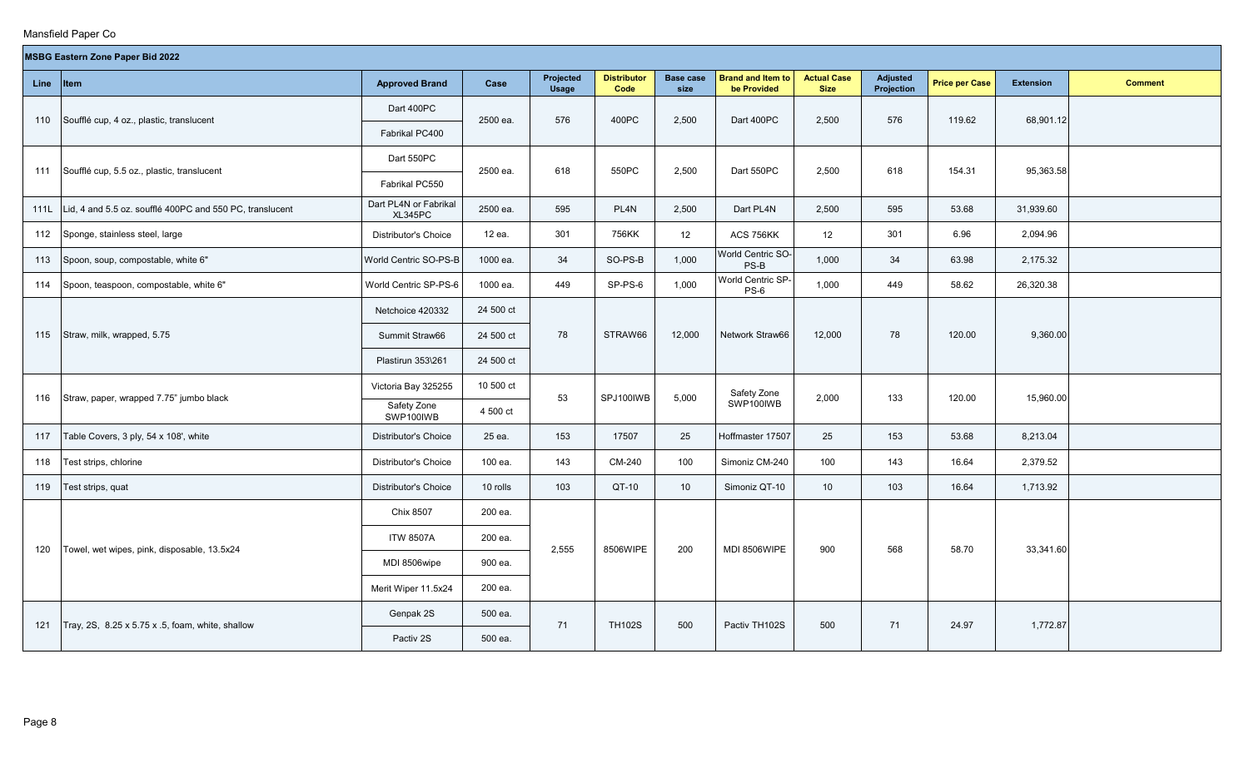|      | <b>MSBG Eastern Zone Paper Bid 2022</b><br><b>Actual Case</b><br>Projected<br><b>Distributor</b><br><b>Base case</b><br><b>Brand and Item to</b><br><b>Adjusted</b><br><b>Item</b><br><b>Approved Brand</b><br>Case<br><b>Price per Case</b><br><b>Extension</b><br><b>Comment</b> |                                  |           |              |                  |        |                             |                 |            |        |           |  |  |  |
|------|------------------------------------------------------------------------------------------------------------------------------------------------------------------------------------------------------------------------------------------------------------------------------------|----------------------------------|-----------|--------------|------------------|--------|-----------------------------|-----------------|------------|--------|-----------|--|--|--|
| Line |                                                                                                                                                                                                                                                                                    |                                  |           | <b>Usage</b> | Code             | size   | be Provided                 | <b>Size</b>     | Projection |        |           |  |  |  |
| 110  | Soufflé cup, 4 oz., plastic, translucent                                                                                                                                                                                                                                           | Dart 400PC                       | 2500 ea.  | 576          | 400PC            | 2,500  | Dart 400PC                  | 2,500           | 576        | 119.62 | 68,901.12 |  |  |  |
|      |                                                                                                                                                                                                                                                                                    | Fabrikal PC400                   |           |              |                  |        |                             |                 |            |        |           |  |  |  |
|      |                                                                                                                                                                                                                                                                                    | Dart 550PC                       |           |              |                  |        |                             |                 |            |        |           |  |  |  |
| 111  | Soufflé cup, 5.5 oz., plastic, translucent                                                                                                                                                                                                                                         | Fabrikal PC550                   | 2500 ea.  | 618          | 550PC            | 2,500  | Dart 550PC                  | 2,500           | 618        | 154.31 | 95,363.58 |  |  |  |
| 111L | Lid, 4 and 5.5 oz. soufflé 400PC and 550 PC, translucent                                                                                                                                                                                                                           | Dart PL4N or Fabrikal<br>XL345PC | 2500 ea.  | 595          | PL <sub>4N</sub> | 2,500  | Dart PL4N                   | 2,500           | 595        | 53.68  | 31,939.60 |  |  |  |
| 112  | Sponge, stainless steel, large                                                                                                                                                                                                                                                     | Distributor's Choice             | 12 ea.    | 301          | 756KK            | 12     | ACS 756KK                   | 12              | 301        | 6.96   | 2,094.96  |  |  |  |
| 113  | Spoon, soup, compostable, white 6"                                                                                                                                                                                                                                                 | World Centric SO-PS-B            | 1000 ea.  | 34           | SO-PS-B          | 1,000  | World Centric SO-<br>$PS-B$ | 1,000           | 34         | 63.98  | 2,175.32  |  |  |  |
| 114  | Spoon, teaspoon, compostable, white 6"                                                                                                                                                                                                                                             | World Centric SP-PS-6            | 1000 ea.  | 449          | SP-PS-6          | 1,000  | World Centric SP-<br>$PS-6$ | 1,000           | 449        | 58.62  | 26,320.38 |  |  |  |
|      |                                                                                                                                                                                                                                                                                    | Netchoice 420332                 | 24 500 ct |              |                  |        |                             |                 |            |        |           |  |  |  |
| 115  | Straw, milk, wrapped, 5.75                                                                                                                                                                                                                                                         | Summit Straw66                   | 24 500 ct | 78           | STRAW66          | 12,000 | Network Straw66             | 12,000          | 78         | 120.00 | 9,360.00  |  |  |  |
|      |                                                                                                                                                                                                                                                                                    | Plastirun 353\261                | 24 500 ct |              |                  |        |                             |                 |            |        |           |  |  |  |
|      |                                                                                                                                                                                                                                                                                    | Victoria Bay 325255              | 10 500 ct |              |                  |        | Safety Zone                 |                 |            |        |           |  |  |  |
| 116  | Straw, paper, wrapped 7.75" jumbo black                                                                                                                                                                                                                                            | Safety Zone<br>SWP100IWB         | 4 500 ct  | 53           | SPJ100IWB        | 5,000  | SWP100IWB                   | 2,000           | 133        | 120.00 | 15,960.00 |  |  |  |
| 117  | Table Covers, 3 ply, 54 x 108', white                                                                                                                                                                                                                                              | Distributor's Choice             | 25 ea.    | 153          | 17507            | 25     | Hoffmaster 17507            | 25              | 153        | 53.68  | 8,213.04  |  |  |  |
| 118  | Test strips, chlorine                                                                                                                                                                                                                                                              | <b>Distributor's Choice</b>      | 100 ea.   | 143          | CM-240           | 100    | Simoniz CM-240              | 100             | 143        | 16.64  | 2,379.52  |  |  |  |
| 119  | Test strips, quat                                                                                                                                                                                                                                                                  | <b>Distributor's Choice</b>      | 10 rolls  | 103          | QT-10            | 10     | Simoniz QT-10               | 10 <sup>°</sup> | 103        | 16.64  | 1,713.92  |  |  |  |
|      |                                                                                                                                                                                                                                                                                    | Chix 8507                        | 200 ea.   |              |                  |        |                             |                 |            |        |           |  |  |  |
|      |                                                                                                                                                                                                                                                                                    | <b>ITW 8507A</b>                 | 200 ea.   |              |                  |        |                             |                 |            |        |           |  |  |  |
| 120  | Towel, wet wipes, pink, disposable, 13.5x24                                                                                                                                                                                                                                        | MDI 8506wipe                     | 900 ea.   | 2,555        | 8506WIPE         | 200    | MDI 8506WIPE                | 900             | 568        | 58.70  | 33,341.60 |  |  |  |
|      |                                                                                                                                                                                                                                                                                    | Merit Wiper 11.5x24              | 200 ea.   |              |                  |        |                             |                 |            |        |           |  |  |  |
|      |                                                                                                                                                                                                                                                                                    | Genpak 2S                        | 500 ea.   |              |                  |        |                             |                 |            |        |           |  |  |  |
| 121  | Tray, 2S, 8.25 x 5.75 x .5, foam, white, shallow                                                                                                                                                                                                                                   | Pactiv 2S                        | 500 ea.   | 71           | <b>TH102S</b>    | 500    | Pactiv TH102S               | 500             | 71         | 24.97  | 1,772.87  |  |  |  |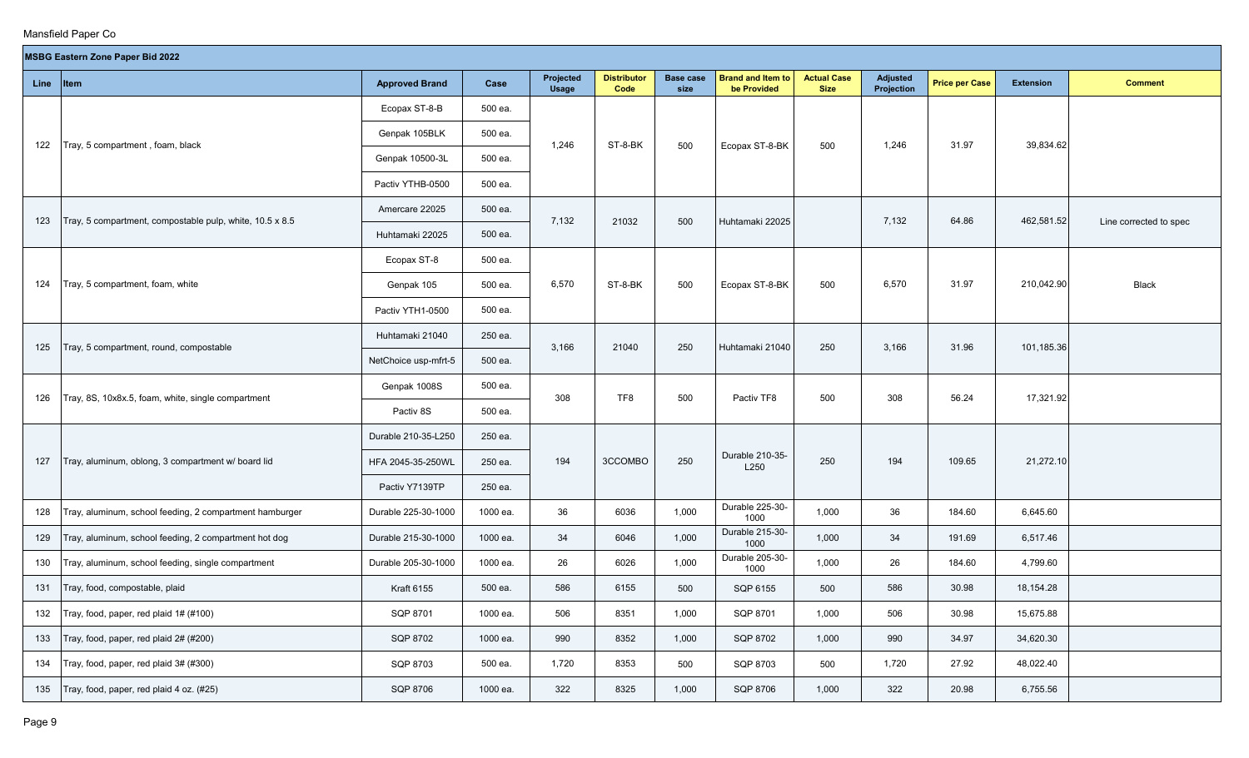|           | <b>MSBG Eastern Zone Paper Bid 2022</b><br>Projected<br><b>Distributor</b><br><b>Brand and Item to</b><br><b>Actual Case</b><br><b>Base case</b><br><b>Adjusted</b> |                       |          |              |         |       |                         |             |            |                       |                  |                        |  |
|-----------|---------------------------------------------------------------------------------------------------------------------------------------------------------------------|-----------------------|----------|--------------|---------|-------|-------------------------|-------------|------------|-----------------------|------------------|------------------------|--|
| Line Item |                                                                                                                                                                     | <b>Approved Brand</b> | Case     | <b>Usage</b> | Code    | size  | be Provided             | <b>Size</b> | Projection | <b>Price per Case</b> | <b>Extension</b> | <b>Comment</b>         |  |
|           |                                                                                                                                                                     | Ecopax ST-8-B         | 500 ea.  |              |         |       |                         |             |            |                       |                  |                        |  |
|           |                                                                                                                                                                     | Genpak 105BLK         | 500 ea.  |              |         |       |                         |             |            |                       |                  |                        |  |
| 122       | Tray, 5 compartment, foam, black                                                                                                                                    | Genpak 10500-3L       | 500 ea.  | 1,246        | ST-8-BK | 500   | Ecopax ST-8-BK          | 500         | 1,246      | 31.97                 | 39,834.62        |                        |  |
|           |                                                                                                                                                                     | Pactiv YTHB-0500      | 500 ea.  |              |         |       |                         |             |            |                       |                  |                        |  |
|           |                                                                                                                                                                     | Amercare 22025        | 500 ea.  |              |         |       |                         |             |            |                       |                  |                        |  |
| 123       | Tray, 5 compartment, compostable pulp, white, 10.5 x 8.5                                                                                                            | Huhtamaki 22025       | 500 ea.  | 7,132        | 21032   | 500   | Huhtamaki 22025         |             | 7,132      | 64.86                 | 462,581.52       | Line corrected to spec |  |
|           |                                                                                                                                                                     | Ecopax ST-8           | 500 ea.  |              |         |       |                         |             |            |                       |                  |                        |  |
| 124       | Tray, 5 compartment, foam, white                                                                                                                                    | Genpak 105            | 500 ea.  | 6,570        | ST-8-BK | 500   | Ecopax ST-8-BK          | 500         | 6,570      | 31.97                 | 210,042.90       | <b>Black</b>           |  |
|           |                                                                                                                                                                     | Pactiv YTH1-0500      | 500 ea.  |              |         |       |                         |             |            |                       |                  |                        |  |
|           |                                                                                                                                                                     | Huhtamaki 21040       | 250 ea.  |              |         |       |                         |             |            |                       |                  |                        |  |
| 125       | Tray, 5 compartment, round, compostable                                                                                                                             | NetChoice usp-mfrt-5  | 500 ea.  | 3,166        | 21040   | 250   | Huhtamaki 21040         | 250         | 3,166      | 31.96                 | 101,185.36       |                        |  |
|           |                                                                                                                                                                     | Genpak 1008S          | 500 ea.  |              |         |       |                         |             |            |                       |                  |                        |  |
| 126       | Tray, 8S, 10x8x.5, foam, white, single compartment                                                                                                                  | Pactiv 8S             | 500 ea.  | 308          | TF8     | 500   | Pactiv TF8              | 500         | 308        | 56.24                 | 17,321.92        |                        |  |
|           |                                                                                                                                                                     | Durable 210-35-L250   | 250 ea.  |              |         |       |                         |             |            |                       |                  |                        |  |
| 127       | Tray, aluminum, oblong, 3 compartment w/ board lid                                                                                                                  | HFA 2045-35-250WL     | 250 ea.  | 194          | 3CCOMBO | 250   | Durable 210-35-<br>L250 | 250         | 194        | 109.65                | 21,272.10        |                        |  |
|           |                                                                                                                                                                     | Pactiv Y7139TP        | 250 ea.  |              |         |       |                         |             |            |                       |                  |                        |  |
| 128       | Tray, aluminum, school feeding, 2 compartment hamburger                                                                                                             | Durable 225-30-1000   | 1000 ea. | 36           | 6036    | 1,000 | Durable 225-30-<br>1000 | 1,000       | 36         | 184.60                | 6,645.60         |                        |  |
| 129       | Tray, aluminum, school feeding, 2 compartment hot dog                                                                                                               | Durable 215-30-1000   | 1000 ea. | 34           | 6046    | 1,000 | Durable 215-30-<br>1000 | 1,000       | 34         | 191.69                | 6,517.46         |                        |  |
| 130       | Tray, aluminum, school feeding, single compartment                                                                                                                  | Durable 205-30-1000   | 1000 ea. | 26           | 6026    | 1,000 | Durable 205-30-<br>1000 | 1,000       | 26         | 184.60                | 4,799.60         |                        |  |
| 131       | Tray, food, compostable, plaid                                                                                                                                      | <b>Kraft 6155</b>     | 500 ea.  | 586          | 6155    | 500   | SQP 6155                | 500         | 586        | 30.98                 | 18,154.28        |                        |  |
| 132       | Tray, food, paper, red plaid 1# (#100)                                                                                                                              | SQP 8701              | 1000 ea. | 506          | 8351    | 1,000 | SQP 8701                | 1,000       | 506        | 30.98                 | 15,675.88        |                        |  |
| 133       | Tray, food, paper, red plaid 2# (#200)                                                                                                                              | SQP 8702              | 1000 ea. | 990          | 8352    | 1,000 | SQP 8702                | 1,000       | 990        | 34.97                 | 34,620.30        |                        |  |
| 134       | Tray, food, paper, red plaid 3# (#300)                                                                                                                              | SQP 8703              | 500 ea.  | 1,720        | 8353    | 500   | SQP 8703                | 500         | 1,720      | 27.92                 | 48,022.40        |                        |  |
| 135       | Tray, food, paper, red plaid 4 oz. (#25)                                                                                                                            | SQP 8706              | 1000 ea. | 322          | 8325    | 1,000 | SQP 8706                | 1,000       | 322        | 20.98                 | 6,755.56         |                        |  |